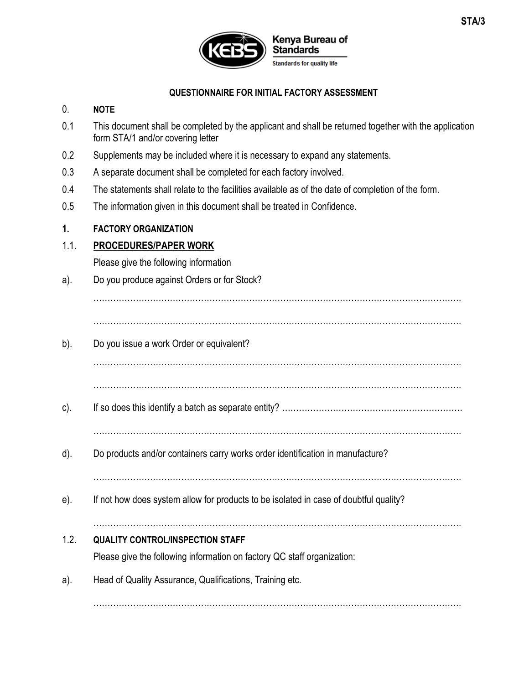

#### **QUESTIONNAIRE FOR INITIAL FACTORY ASSESSMENT**

#### 0. **NOTE**

- 0.1 This document shall be completed by the applicant and shall be returned together with the application form STA/1 and/or covering letter
- 0.2 Supplements may be included where it is necessary to expand any statements.
- 0.3 A separate document shall be completed for each factory involved.
- 0.4 The statements shall relate to the facilities available as of the date of completion of the form.
- 0.5 The information given in this document shall be treated in Confidence.

#### **1. FACTORY ORGANIZATION**

## 1.1. **PROCEDURES/PAPER WORK**

Please give the following information

a). Do you produce against Orders or for Stock?

………………………………………………………………………………………………………………….

- ………………………………………………………………………………………………………………….
- b). Do you issue a work Order or equivalent?

………………………………………………………………………………………………………………….

………………………………………………………………………………………………………………….

- c). If so does this identify a batch as separate entity? …………………………………….…………………
- ………………………………………………………………………………………………………………….
- d). Do products and/or containers carry works order identification in manufacture?

e). If not how does system allow for products to be isolated in case of doubtful quality?

## $\mathcal{L}^{\text{max}}_{\text{max}}$

………………………………………………………………………………………………………………….

## 1.2. **QUALITY CONTROL/INSPECTION STAFF**

Please give the following information on factory QC staff organization:

a). Head of Quality Assurance, Qualifications, Training etc.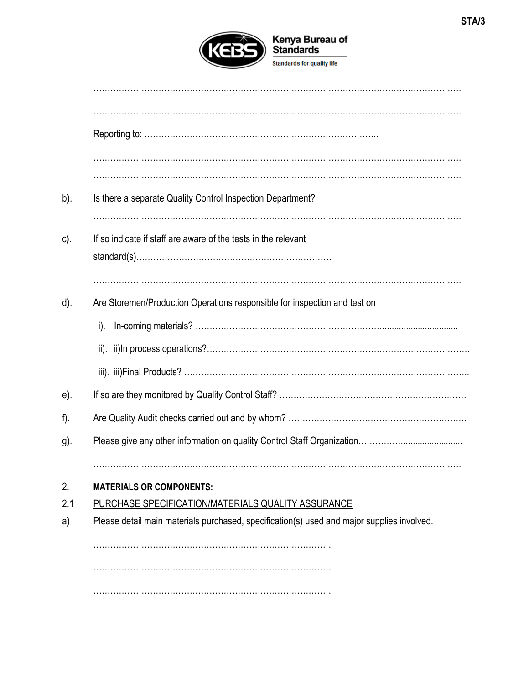

| Is there a separate Quality Control Inspection Department?                                 |
|--------------------------------------------------------------------------------------------|
| If so indicate if staff are aware of the tests in the relevant                             |
| Are Storemen/Production Operations responsible for inspection and test on                  |
|                                                                                            |
|                                                                                            |
|                                                                                            |
|                                                                                            |
|                                                                                            |
|                                                                                            |
|                                                                                            |
| <b>MATERIALS OR COMPONENTS:</b>                                                            |
| PURCHASE SPECIFICATION/MATERIALS QUALITY ASSURANCE                                         |
| Please detail main materials purchased, specification(s) used and major supplies involved. |
|                                                                                            |
|                                                                                            |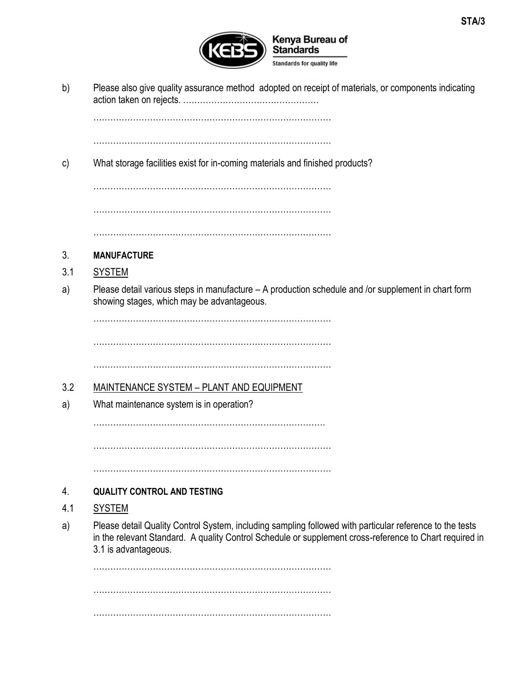

b) Please also give quality assurance method adopted on receipt of materials, or components indicating action taken on rejects. …………………………………………

…………………………………………………………………………

…………………………………………………………………………

c) What storage facilities exist for in-coming materials and finished products?

………………………………………………………………………… ………………………………………………………………………… …………………………………………………………………………

## 3. **MANUFACTURE**

- 3.1 SYSTEM
- a) Please detail various steps in manufacture A production schedule and /or supplement in chart form showing stages, which may be advantageous.

…………………………………………………………………………

…………………………………………………………………………

…………………………………………………………………………

## 3.2 MAINTENANCE SYSTEM – PLANT AND EQUIPMENT

a) What maintenance system is in operation?

……………………………………………………………………….

…………………………………………………………………………

…………………………………………………………………………

## 4. **QUALITY CONTROL AND TESTING**

## 4.1 SYSTEM

a) Please detail Quality Control System, including sampling followed with particular reference to the tests in the relevant Standard. A quality Control Schedule or supplement cross-reference to Chart required in 3.1 is advantageous.

………………………………………………………………………… ………………………………………………………………………… …………………………………………………………………………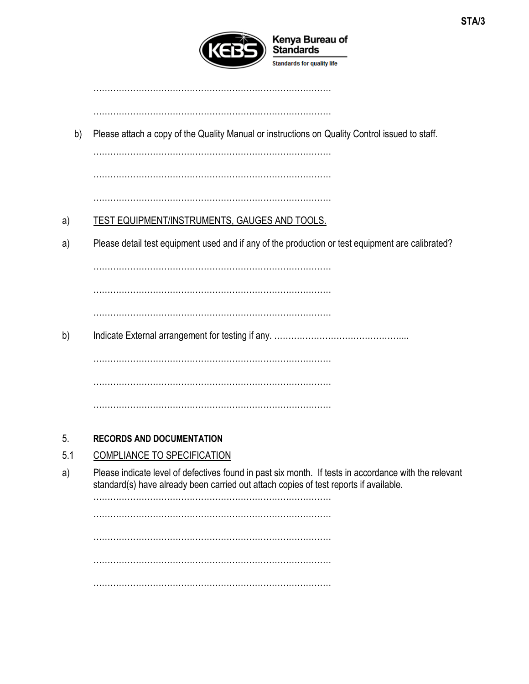

…………………………………………………………………………

…………………………………………………………………………

b) Please attach a copy of the Quality Manual or instructions on Quality Control issued to staff.

…………………………………………………………………………

…………………………………………………………………………

# …………………………………………………………………………

# a) TEST EQUIPMENT/INSTRUMENTS, GAUGES AND TOOLS.

a) Please detail test equipment used and if any of the production or test equipment are calibrated?

…………………………………………………………………………

…………………………………………………………………………

…………………………………………………………………………

b) Indicate External arrangement for testing if any. ………………………………………...

………………………………………………………………………… …………………………………………………………………………

…………………………………………………………………………

## 5. **RECORDS AND DOCUMENTATION**

## 5.1 COMPLIANCE TO SPECIFICATION

a) Please indicate level of defectives found in past six month. If tests in accordance with the relevant standard(s) have already been carried out attach copies of test reports if available.

…………………………………………………………………………

…………………………………………………………………………

…………………………………………………………………………

…………………………………………………………………………

…………………………………………………………………………